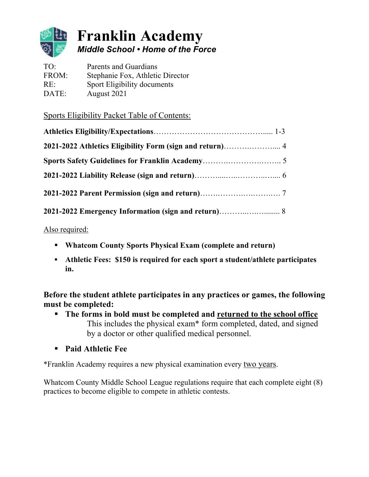

# **Franklin Academy** *Middle School • Home of the Force*

TO: Parents and Guardians FROM: Stephanie Fox, Athletic Director RE: Sport Eligibility documents DATE: August 2021

Sports Eligibility Packet Table of Contents:

Also required:

- § **Whatcom County Sports Physical Exam (complete and return)**
- § **Athletic Fees: \$150 is required for each sport a student/athlete participates in.**

**Before the student athlete participates in any practices or games, the following must be completed:**

- § **The forms in bold must be completed and returned to the school office** This includes the physical exam\* form completed, dated, and signed by a doctor or other qualified medical personnel.
- § **Paid Athletic Fee**

\*Franklin Academy requires a new physical examination every two years.

Whatcom County Middle School League regulations require that each complete eight (8) practices to become eligible to compete in athletic contests.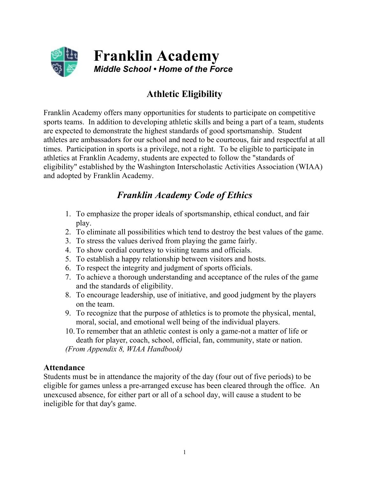

# **Athletic Eligibility**

Franklin Academy offers many opportunities for students to participate on competitive sports teams. In addition to developing athletic skills and being a part of a team, students are expected to demonstrate the highest standards of good sportsmanship. Student athletes are ambassadors for our school and need to be courteous, fair and respectful at all times. Participation in sports is a privilege, not a right. To be eligible to participate in athletics at Franklin Academy, students are expected to follow the "standards of eligibility" established by the Washington Interscholastic Activities Association (WIAA) and adopted by Franklin Academy.

## *Franklin Academy Code of Ethics*

- 1. To emphasize the proper ideals of sportsmanship, ethical conduct, and fair play.
- 2. To eliminate all possibilities which tend to destroy the best values of the game.
- 3. To stress the values derived from playing the game fairly.
- 4. To show cordial courtesy to visiting teams and officials.
- 5. To establish a happy relationship between visitors and hosts.
- 6. To respect the integrity and judgment of sports officials.
- 7. To achieve a thorough understanding and acceptance of the rules of the game and the standards of eligibility.
- 8. To encourage leadership, use of initiative, and good judgment by the players on the team.
- 9. To recognize that the purpose of athletics is to promote the physical, mental, moral, social, and emotional well being of the individual players.
- 10.To remember that an athletic contest is only a game-not a matter of life or death for player, coach, school, official, fan, community, state or nation.

*(From Appendix 8, WIAA Handbook)*

### **Attendance**

Students must be in attendance the majority of the day (four out of five periods) to be eligible for games unless a pre-arranged excuse has been cleared through the office. An unexcused absence, for either part or all of a school day, will cause a student to be ineligible for that day's game.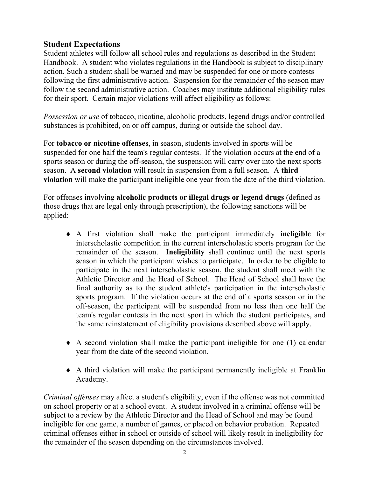### **Student Expectations**

Student athletes will follow all school rules and regulations as described in the Student Handbook. A student who violates regulations in the Handbook is subject to disciplinary action. Such a student shall be warned and may be suspended for one or more contests following the first administrative action. Suspension for the remainder of the season may follow the second administrative action. Coaches may institute additional eligibility rules for their sport. Certain major violations will affect eligibility as follows:

*Possession or use* of tobacco, nicotine, alcoholic products, legend drugs and/or controlled substances is prohibited, on or off campus, during or outside the school day.

For **tobacco or nicotine offenses**, in season, students involved in sports will be suspended for one half the team's regular contests. If the violation occurs at the end of a sports season or during the off-season, the suspension will carry over into the next sports season. A **second violation** will result in suspension from a full season. A **third violation** will make the participant ineligible one year from the date of the third violation.

For offenses involving **alcoholic products or illegal drugs or legend drugs** (defined as those drugs that are legal only through prescription), the following sanctions will be applied:

- ¨ A first violation shall make the participant immediately **ineligible** for interscholastic competition in the current interscholastic sports program for the remainder of the season. **Ineligibility** shall continue until the next sports season in which the participant wishes to participate. In order to be eligible to participate in the next interscholastic season, the student shall meet with the Athletic Director and the Head of School. The Head of School shall have the final authority as to the student athlete's participation in the interscholastic sports program. If the violation occurs at the end of a sports season or in the off-season, the participant will be suspended from no less than one half the team's regular contests in the next sport in which the student participates, and the same reinstatement of eligibility provisions described above will apply.
- $\bullet$  A second violation shall make the participant ineligible for one (1) calendar year from the date of the second violation.
- $\bullet$  A third violation will make the participant permanently ineligible at Franklin Academy.

*Criminal offenses* may affect a student's eligibility, even if the offense was not committed on school property or at a school event. A student involved in a criminal offense will be subject to a review by the Athletic Director and the Head of School and may be found ineligible for one game, a number of games, or placed on behavior probation. Repeated criminal offenses either in school or outside of school will likely result in ineligibility for the remainder of the season depending on the circumstances involved.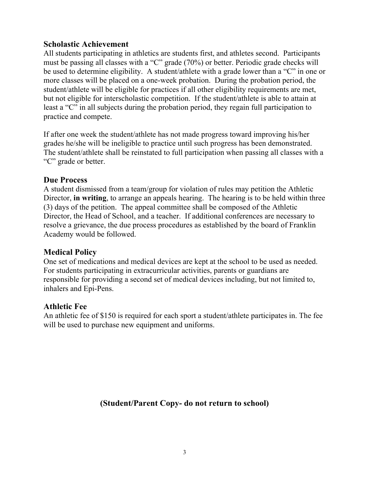### **Scholastic Achievement**

All students participating in athletics are students first, and athletes second. Participants must be passing all classes with a "C" grade (70%) or better. Periodic grade checks will be used to determine eligibility. A student/athlete with a grade lower than a "C" in one or more classes will be placed on a one-week probation. During the probation period, the student/athlete will be eligible for practices if all other eligibility requirements are met, but not eligible for interscholastic competition. If the student/athlete is able to attain at least a "C" in all subjects during the probation period, they regain full participation to practice and compete.

If after one week the student/athlete has not made progress toward improving his/her grades he/she will be ineligible to practice until such progress has been demonstrated. The student/athlete shall be reinstated to full participation when passing all classes with a "C" grade or better.

#### **Due Process**

A student dismissed from a team/group for violation of rules may petition the Athletic Director, **in writing**, to arrange an appeals hearing. The hearing is to be held within three (3) days of the petition. The appeal committee shall be composed of the Athletic Director, the Head of School, and a teacher. If additional conferences are necessary to resolve a grievance, the due process procedures as established by the board of Franklin Academy would be followed.

#### **Medical Policy**

One set of medications and medical devices are kept at the school to be used as needed. For students participating in extracurricular activities, parents or guardians are responsible for providing a second set of medical devices including, but not limited to, inhalers and Epi-Pens.

### **Athletic Fee**

An athletic fee of \$150 is required for each sport a student/athlete participates in. The fee will be used to purchase new equipment and uniforms.

### **(Student/Parent Copy- do not return to school)**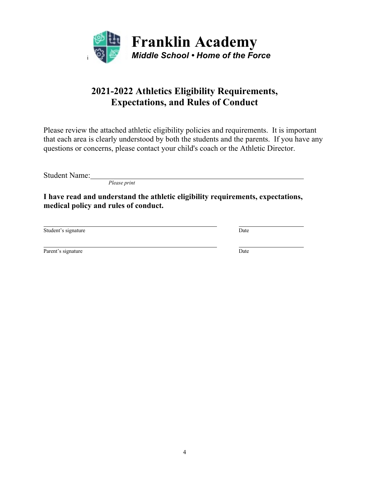

## **2021-2022 Athletics Eligibility Requirements, Expectations, and Rules of Conduct**

Please review the attached athletic eligibility policies and requirements. It is important that each area is clearly understood by both the students and the parents. If you have any questions or concerns, please contact your child's coach or the Athletic Director.

Student Name:

*Please print*

**I have read and understand the athletic eligibility requirements, expectations, medical policy and rules of conduct.**

Student's signature Date

Parent's signature Date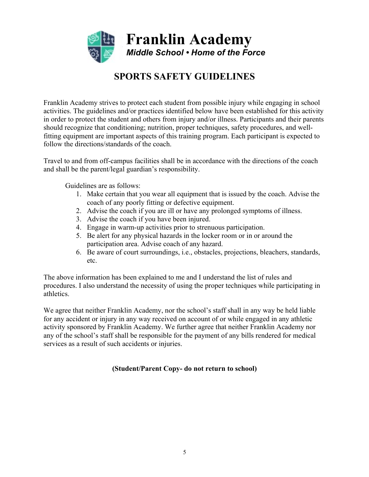

## **SPORTS SAFETY GUIDELINES**

Franklin Academy strives to protect each student from possible injury while engaging in school activities. The guidelines and/or practices identified below have been established for this activity in order to protect the student and others from injury and/or illness. Participants and their parents should recognize that conditioning; nutrition, proper techniques, safety procedures, and wellfitting equipment are important aspects of this training program. Each participant is expected to follow the directions/standards of the coach.

Travel to and from off-campus facilities shall be in accordance with the directions of the coach and shall be the parent/legal guardian's responsibility.

Guidelines are as follows:

- 1. Make certain that you wear all equipment that is issued by the coach. Advise the coach of any poorly fitting or defective equipment.
- 2. Advise the coach if you are ill or have any prolonged symptoms of illness.
- 3. Advise the coach if you have been injured.
- 4. Engage in warm-up activities prior to strenuous participation.
- 5. Be alert for any physical hazards in the locker room or in or around the participation area. Advise coach of any hazard.
- 6. Be aware of court surroundings, i.e., obstacles, projections, bleachers, standards, etc.

The above information has been explained to me and I understand the list of rules and procedures. I also understand the necessity of using the proper techniques while participating in athletics.

We agree that neither Franklin Academy, nor the school's staff shall in any way be held liable for any accident or injury in any way received on account of or while engaged in any athletic activity sponsored by Franklin Academy. We further agree that neither Franklin Academy nor any of the school's staff shall be responsible for the payment of any bills rendered for medical services as a result of such accidents or injuries.

#### **(Student/Parent Copy- do not return to school)**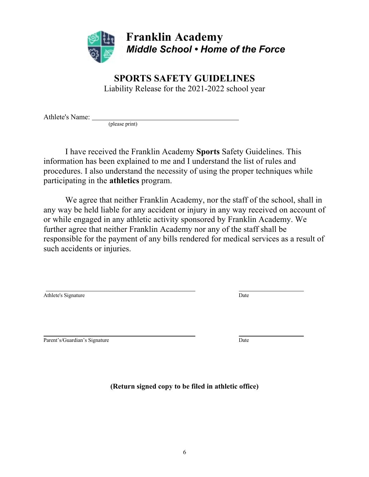

**Franklin Academy** *Middle School • Home of the Force*

### **SPORTS SAFETY GUIDELINES** Liability Release for the 2021-2022 school year

Athlete's Name:

(please print)

I have received the Franklin Academy **Sports** Safety Guidelines. This information has been explained to me and I understand the list of rules and procedures. I also understand the necessity of using the proper techniques while participating in the **athletics** program.

We agree that neither Franklin Academy, nor the staff of the school, shall in any way be held liable for any accident or injury in any way received on account of or while engaged in any athletic activity sponsored by Franklin Academy. We further agree that neither Franklin Academy nor any of the staff shall be responsible for the payment of any bills rendered for medical services as a result of such accidents or injuries.

| Athlete's Signature | Date |  |
|---------------------|------|--|
|                     |      |  |
|                     |      |  |
|                     |      |  |
|                     |      |  |

Parent's/Guardian's Signature Date Date Date Date

**(Return signed copy to be filed in athletic office)**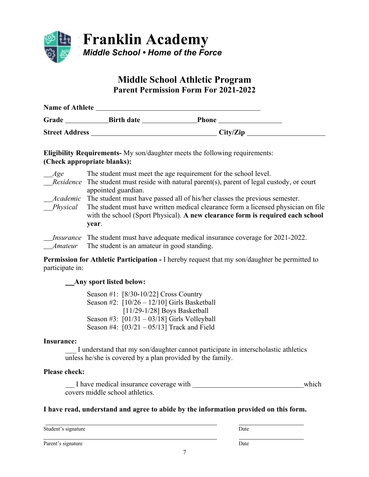

### **Middle School Athletic Program Parent Permission Form For 2021-2022**

| <b>Name of Athlete</b> |                   |              |  |
|------------------------|-------------------|--------------|--|
| Grade                  | <b>Birth date</b> | <b>Phone</b> |  |
| <b>Street Address</b>  |                   | City/Zip     |  |

**Eligibility Requirements-** My son/daughter meets the following requirements: **(Check appropriate blanks):** 

| Age      | The student must meet the age requirement for the school level.<br>$Residence$ The student must reside with natural parent(s), parent of legal custody, or court<br>appointed guardian.                                                                                    |
|----------|----------------------------------------------------------------------------------------------------------------------------------------------------------------------------------------------------------------------------------------------------------------------------|
| Physical | <i>Academic</i> The student must have passed all of his/her classes the previous semester.<br>The student must have written medical clearance form a licensed physician on file<br>with the school (Sport Physical). A new clearance form is required each school<br>year. |
| Amateur  | <i>Insurance</i> The student must have adequate medical insurance coverage for 2021-2022.<br>The student is an amateur in good standing.                                                                                                                                   |

**Permission for Athletic Participation -** I hereby request that my son/daughter be permitted to participate in:

#### **Any sport listed below:**

Season #1: [8/30-10/22] Cross Country Season #2: [10/26 – 12/10] Girls Basketball [11/29-1/28] Boys Basketball Season #3: [01/31 – 03/18] Girls Volleyball Season #4: [03/21 – 05/13] Track and Field

#### **Insurance:**

\_\_\_ I understand that my son/daughter cannot participate in interscholastic athletics unless he/she is covered by a plan provided by the family.

#### **Please check:**

I have medical insurance coverage with **which** which covers middle school athletics.

#### **I have read, understand and agree to abide by the information provided on this form.**

Student's signature Date

Parent's signature Date

7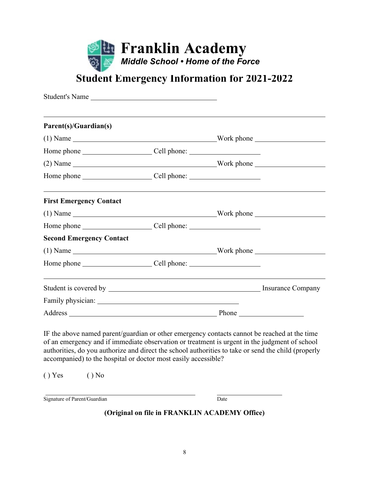

# **Student Emergency Information for 2021-2022**

| Student's Name                                                                                                                                                                                |  |  |
|-----------------------------------------------------------------------------------------------------------------------------------------------------------------------------------------------|--|--|
| ,我们也不会有什么。""我们的人,我们也不会有什么?""我们的人,我们也不会有什么?""我们的人,我们也不会有什么?""我们的人,我们也不会有什么?""我们的人<br>Parent(s)/Guardian(s)                                                                                     |  |  |
|                                                                                                                                                                                               |  |  |
|                                                                                                                                                                                               |  |  |
|                                                                                                                                                                                               |  |  |
|                                                                                                                                                                                               |  |  |
| <b>First Emergency Contact</b>                                                                                                                                                                |  |  |
|                                                                                                                                                                                               |  |  |
|                                                                                                                                                                                               |  |  |
| <b>Second Emergency Contact</b>                                                                                                                                                               |  |  |
|                                                                                                                                                                                               |  |  |
|                                                                                                                                                                                               |  |  |
|                                                                                                                                                                                               |  |  |
|                                                                                                                                                                                               |  |  |
|                                                                                                                                                                                               |  |  |
| IF the above named parent/guardian or other emergency contacts cannot be reached at the time<br>of an emergency and if immediate observation or treatment is urgent in the judgment of school |  |  |

of an emergency and if immediate observation or treatment is urgent in the judgment of school authorities, do you authorize and direct the school authorities to take or send the child (properly accompanied) to the hospital or doctor most easily accessible?

 $() Yes$   $() No$ 

| Signature of Parent/Guardian | Date |
|------------------------------|------|
|------------------------------|------|

**(Original on file in FRANKLIN ACADEMY Office)**